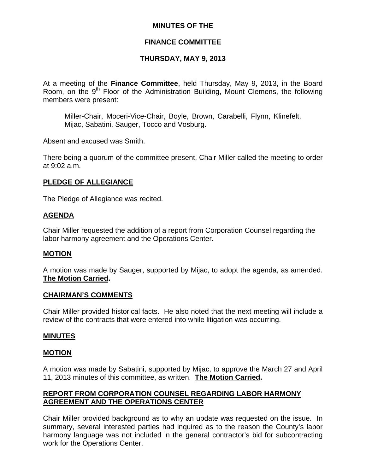### **MINUTES OF THE**

### **FINANCE COMMITTEE**

### **THURSDAY, MAY 9, 2013**

At a meeting of the **Finance Committee**, held Thursday, May 9, 2013, in the Board Room, on the 9<sup>th</sup> Floor of the Administration Building, Mount Clemens, the following members were present:

Miller-Chair, Moceri-Vice-Chair, Boyle, Brown, Carabelli, Flynn, Klinefelt, Mijac, Sabatini, Sauger, Tocco and Vosburg.

Absent and excused was Smith.

There being a quorum of the committee present, Chair Miller called the meeting to order at 9:02 a.m.

### **PLEDGE OF ALLEGIANCE**

The Pledge of Allegiance was recited.

#### **AGENDA**

Chair Miller requested the addition of a report from Corporation Counsel regarding the labor harmony agreement and the Operations Center.

### **MOTION**

A motion was made by Sauger, supported by Mijac, to adopt the agenda, as amended. **The Motion Carried.** 

#### **CHAIRMAN'S COMMENTS**

Chair Miller provided historical facts. He also noted that the next meeting will include a review of the contracts that were entered into while litigation was occurring.

#### **MINUTES**

#### **MOTION**

A motion was made by Sabatini, supported by Mijac, to approve the March 27 and April 11, 2013 minutes of this committee, as written. **The Motion Carried.** 

### **REPORT FROM CORPORATION COUNSEL REGARDING LABOR HARMONY AGREEMENT AND THE OPERATIONS CENTER**

Chair Miller provided background as to why an update was requested on the issue. In summary, several interested parties had inquired as to the reason the County's labor harmony language was not included in the general contractor's bid for subcontracting work for the Operations Center.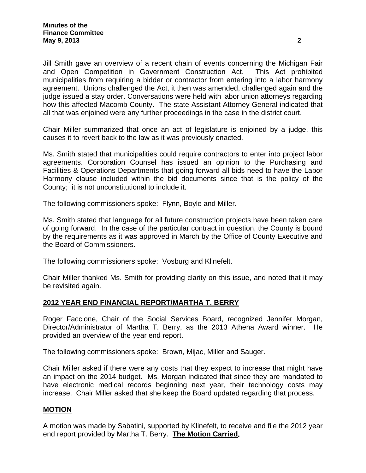Jill Smith gave an overview of a recent chain of events concerning the Michigan Fair and Open Competition in Government Construction Act. This Act prohibited municipalities from requiring a bidder or contractor from entering into a labor harmony agreement. Unions challenged the Act, it then was amended, challenged again and the judge issued a stay order. Conversations were held with labor union attorneys regarding how this affected Macomb County. The state Assistant Attorney General indicated that all that was enjoined were any further proceedings in the case in the district court.

Chair Miller summarized that once an act of legislature is enjoined by a judge, this causes it to revert back to the law as it was previously enacted.

Ms. Smith stated that municipalities could require contractors to enter into project labor agreements. Corporation Counsel has issued an opinion to the Purchasing and Facilities & Operations Departments that going forward all bids need to have the Labor Harmony clause included within the bid documents since that is the policy of the County; it is not unconstitutional to include it.

The following commissioners spoke: Flynn, Boyle and Miller.

Ms. Smith stated that language for all future construction projects have been taken care of going forward. In the case of the particular contract in question, the County is bound by the requirements as it was approved in March by the Office of County Executive and the Board of Commissioners.

The following commissioners spoke: Vosburg and Klinefelt.

Chair Miller thanked Ms. Smith for providing clarity on this issue, and noted that it may be revisited again.

### **2012 YEAR END FINANCIAL REPORT/MARTHA T. BERRY**

Roger Faccione, Chair of the Social Services Board, recognized Jennifer Morgan, Director/Administrator of Martha T. Berry, as the 2013 Athena Award winner. He provided an overview of the year end report.

The following commissioners spoke: Brown, Mijac, Miller and Sauger.

Chair Miller asked if there were any costs that they expect to increase that might have an impact on the 2014 budget. Ms. Morgan indicated that since they are mandated to have electronic medical records beginning next year, their technology costs may increase. Chair Miller asked that she keep the Board updated regarding that process.

### **MOTION**

A motion was made by Sabatini, supported by Klinefelt, to receive and file the 2012 year end report provided by Martha T. Berry. **The Motion Carried.**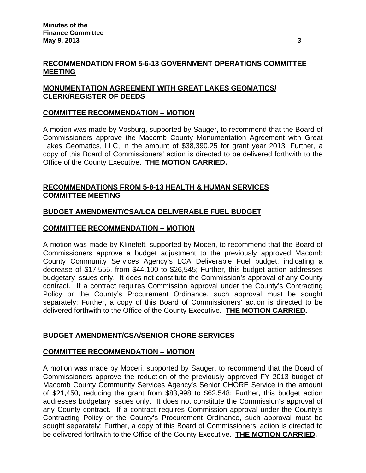## **RECOMMENDATION FROM 5-6-13 GOVERNMENT OPERATIONS COMMITTEE MEETING**

# **MONUMENTATION AGREEMENT WITH GREAT LAKES GEOMATICS/ CLERK/REGISTER OF DEEDS**

## **COMMITTEE RECOMMENDATION – MOTION**

A motion was made by Vosburg, supported by Sauger, to recommend that the Board of Commissioners approve the Macomb County Monumentation Agreement with Great Lakes Geomatics, LLC, in the amount of \$38,390.25 for grant year 2013; Further, a copy of this Board of Commissioners' action is directed to be delivered forthwith to the Office of the County Executive. **THE MOTION CARRIED.** 

# **RECOMMENDATIONS FROM 5-8-13 HEALTH & HUMAN SERVICES COMMITTEE MEETING**

## **BUDGET AMENDMENT/CSA/LCA DELIVERABLE FUEL BUDGET**

### **COMMITTEE RECOMMENDATION – MOTION**

A motion was made by Klinefelt, supported by Moceri, to recommend that the Board of Commissioners approve a budget adjustment to the previously approved Macomb County Community Services Agency's LCA Deliverable Fuel budget, indicating a decrease of \$17,555, from \$44,100 to \$26,545; Further, this budget action addresses budgetary issues only. It does not constitute the Commission's approval of any County contract. If a contract requires Commission approval under the County's Contracting Policy or the County's Procurement Ordinance, such approval must be sought separately; Further, a copy of this Board of Commissioners' action is directed to be delivered forthwith to the Office of the County Executive. **THE MOTION CARRIED.** 

### **BUDGET AMENDMENT/CSA/SENIOR CHORE SERVICES**

### **COMMITTEE RECOMMENDATION – MOTION**

A motion was made by Moceri, supported by Sauger, to recommend that the Board of Commissioners approve the reduction of the previously approved FY 2013 budget of Macomb County Community Services Agency's Senior CHORE Service in the amount of \$21,450, reducing the grant from \$83,998 to \$62,548; Further, this budget action addresses budgetary issues only. It does not constitute the Commission's approval of any County contract. If a contract requires Commission approval under the County's Contracting Policy or the County's Procurement Ordinance, such approval must be sought separately; Further, a copy of this Board of Commissioners' action is directed to be delivered forthwith to the Office of the County Executive. **THE MOTION CARRIED.**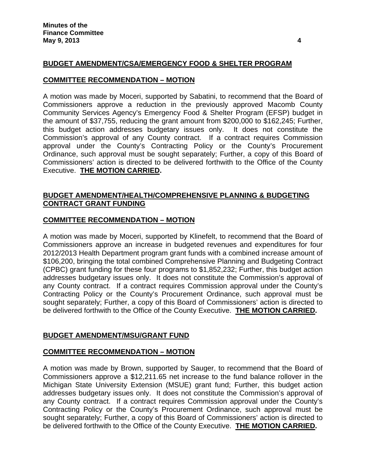## **BUDGET AMENDMENT/CSA/EMERGENCY FOOD & SHELTER PROGRAM**

#### **COMMITTEE RECOMMENDATION – MOTION**

A motion was made by Moceri, supported by Sabatini, to recommend that the Board of Commissioners approve a reduction in the previously approved Macomb County Community Services Agency's Emergency Food & Shelter Program (EFSP) budget in the amount of \$37,755, reducing the grant amount from \$200,000 to \$162,245; Further, this budget action addresses budgetary issues only. It does not constitute the Commission's approval of any County contract. If a contract requires Commission approval under the County's Contracting Policy or the County's Procurement Ordinance, such approval must be sought separately; Further, a copy of this Board of Commissioners' action is directed to be delivered forthwith to the Office of the County Executive. **THE MOTION CARRIED.** 

#### **BUDGET AMENDMENT/HEALTH/COMPREHENSIVE PLANNING & BUDGETING CONTRACT GRANT FUNDING**

#### **COMMITTEE RECOMMENDATION – MOTION**

A motion was made by Moceri, supported by Klinefelt, to recommend that the Board of Commissioners approve an increase in budgeted revenues and expenditures for four 2012/2013 Health Department program grant funds with a combined increase amount of \$106,200, bringing the total combined Comprehensive Planning and Budgeting Contract (CPBC) grant funding for these four programs to \$1,852,232; Further, this budget action addresses budgetary issues only. It does not constitute the Commission's approval of any County contract. If a contract requires Commission approval under the County's Contracting Policy or the County's Procurement Ordinance, such approval must be sought separately; Further, a copy of this Board of Commissioners' action is directed to be delivered forthwith to the Office of the County Executive. **THE MOTION CARRIED.** 

#### **BUDGET AMENDMENT/MSU/GRANT FUND**

#### **COMMITTEE RECOMMENDATION – MOTION**

A motion was made by Brown, supported by Sauger, to recommend that the Board of Commissioners approve a \$12,211.65 net increase to the fund balance rollover in the Michigan State University Extension (MSUE) grant fund; Further, this budget action addresses budgetary issues only. It does not constitute the Commission's approval of any County contract. If a contract requires Commission approval under the County's Contracting Policy or the County's Procurement Ordinance, such approval must be sought separately; Further, a copy of this Board of Commissioners' action is directed to be delivered forthwith to the Office of the County Executive. **THE MOTION CARRIED.**